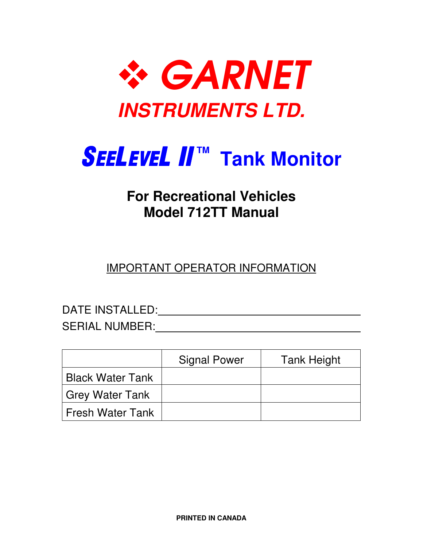

# **SEELEVEL II™ Tank Monitor**

### **For Recreational Vehicles Model 712TT Manual**

IMPORTANT OPERATOR INFORMATION

DATE INSTALLED:

SERIAL NUMBER: WE ARRIVE TO A MARKET A SERIAL MUMBER:

|                         | <b>Signal Power</b> | <b>Tank Height</b> |
|-------------------------|---------------------|--------------------|
| <b>Black Water Tank</b> |                     |                    |
| Grey Water Tank         |                     |                    |
| l Fresh Water Tank      |                     |                    |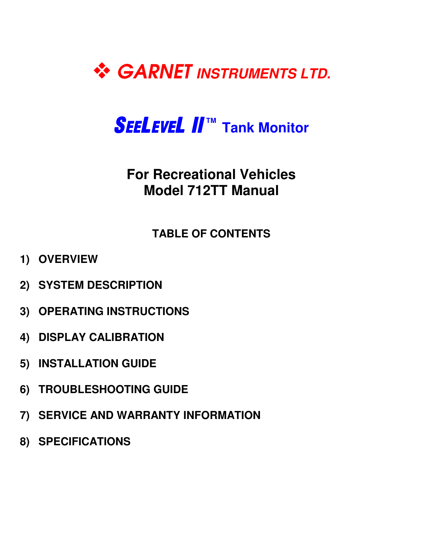

# *SEELEVEL II™* **Tank Monitor**

## **For Recreational Vehicles Model 712TT Manual**

#### **TABLE OF CONTENTS**

- **1) OVERVIEW**
- **2) SYSTEM DESCRIPTION**
- **3) OPERATING INSTRUCTIONS**
- **4) DISPLAY CALIBRATION**
- **5) INSTALLATION GUIDE**
- **6) TROUBLESHOOTING GUIDE**
- **7) SERVICE AND WARRANTY INFORMATION**
- **8) SPECIFICATIONS**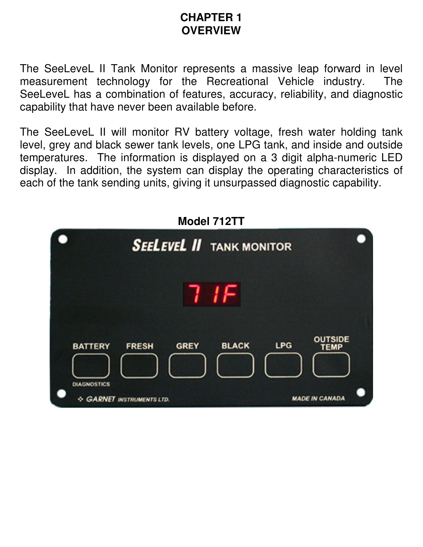#### **CHAPTER 1 OVERVIEW**

The SeeLeveL II Tank Monitor represents a massive leap forward in level measurement technology for the Recreational Vehicle industry. The SeeLeveL has a combination of features, accuracy, reliability, and diagnostic capability that have never been available before.

The SeeLeveL II will monitor RV battery voltage, fresh water holding tank level, grey and black sewer tank levels, one LPG tank, and inside and outside temperatures. The information is displayed on a 3 digit alpha-numeric LED display. In addition, the system can display the operating characteristics of each of the tank sending units, giving it unsurpassed diagnostic capability.

**Model 740T** 

| MOQUE / IZI I                        |                                 |              |                                             |  |
|--------------------------------------|---------------------------------|--------------|---------------------------------------------|--|
|                                      | <b>SEELEVEL II</b> TANK MONITOR |              |                                             |  |
|                                      |                                 |              |                                             |  |
| <b>BATTERY</b><br><b>DIAGNOSTICS</b> | <b>GREY</b><br><b>FRESH</b>     | <b>BLACK</b> | <b>OUTSIDE</b><br><b>LPG</b><br><b>TEMP</b> |  |
|                                      | <b>GARNET INSTRUMENTS LTD.</b>  |              | <b>MADE IN CANADA</b>                       |  |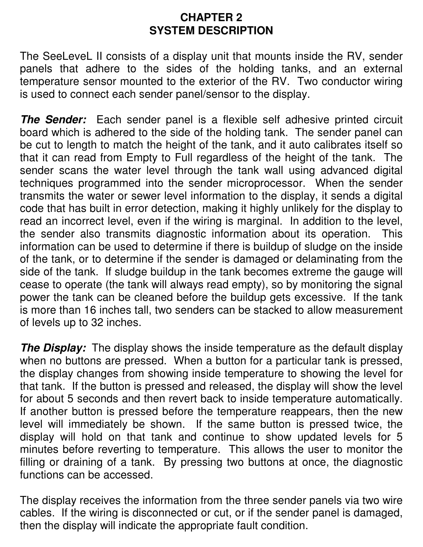#### **CHAPTER 2 SYSTEM DESCRIPTION**

The SeeLeveL II consists of a display unit that mounts inside the RV, sender panels that adhere to the sides of the holding tanks, and an external temperature sensor mounted to the exterior of the RV. Two conductor wiring is used to connect each sender panel/sensor to the display.

**The Sender:** Each sender panel is a flexible self adhesive printed circuit board which is adhered to the side of the holding tank. The sender panel can be cut to length to match the height of the tank, and it auto calibrates itself so that it can read from Empty to Full regardless of the height of the tank. The sender scans the water level through the tank wall using advanced digital techniques programmed into the sender microprocessor. When the sender transmits the water or sewer level information to the display, it sends a digital code that has built in error detection, making it highly unlikely for the display to read an incorrect level, even if the wiring is marginal. In addition to the level, the sender also transmits diagnostic information about its operation. This information can be used to determine if there is buildup of sludge on the inside of the tank, or to determine if the sender is damaged or delaminating from the side of the tank. If sludge buildup in the tank becomes extreme the gauge will cease to operate (the tank will always read empty), so by monitoring the signal power the tank can be cleaned before the buildup gets excessive. If the tank is more than 16 inches tall, two senders can be stacked to allow measurement of levels up to 32 inches.

**The Display:** The display shows the inside temperature as the default display when no buttons are pressed. When a button for a particular tank is pressed, the display changes from showing inside temperature to showing the level for that tank. If the button is pressed and released, the display will show the level for about 5 seconds and then revert back to inside temperature automatically. If another button is pressed before the temperature reappears, then the new level will immediately be shown. If the same button is pressed twice, the display will hold on that tank and continue to show updated levels for 5 minutes before reverting to temperature. This allows the user to monitor the filling or draining of a tank. By pressing two buttons at once, the diagnostic functions can be accessed.

The display receives the information from the three sender panels via two wire cables. If the wiring is disconnected or cut, or if the sender panel is damaged, then the display will indicate the appropriate fault condition.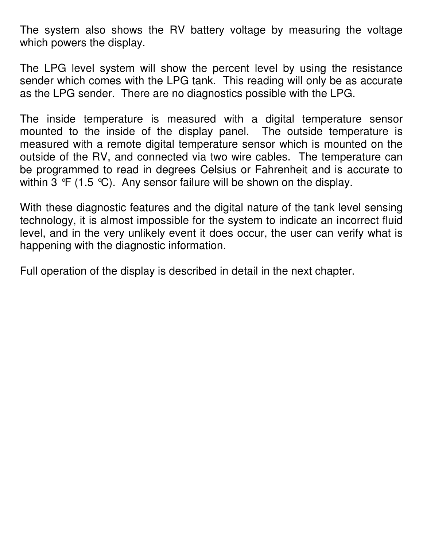The system also shows the RV battery voltage by measuring the voltage which powers the display.

The LPG level system will show the percent level by using the resistance sender which comes with the LPG tank. This reading will only be as accurate as the LPG sender. There are no diagnostics possible with the LPG.

The inside temperature is measured with a digital temperature sensor mounted to the inside of the display panel. The outside temperature is measured with a remote digital temperature sensor which is mounted on the outside of the RV, and connected via two wire cables. The temperature can be programmed to read in degrees Celsius or Fahrenheit and is accurate to within 3  $\mathcal{F}$  (1.5  $\mathcal{C}$ ). Any sensor failure will be shown on the display.

With these diagnostic features and the digital nature of the tank level sensing technology, it is almost impossible for the system to indicate an incorrect fluid level, and in the very unlikely event it does occur, the user can verify what is happening with the diagnostic information.

Full operation of the display is described in detail in the next chapter.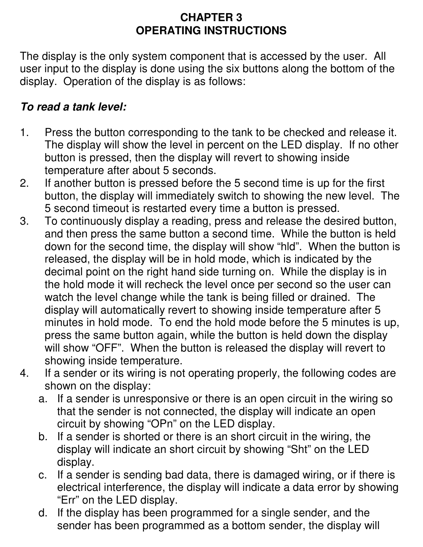#### **CHAPTER 3 OPERATING INSTRUCTIONS**

The display is the only system component that is accessed by the user. All user input to the display is done using the six buttons along the bottom of the display. Operation of the display is as follows:

#### **To read a tank level:**

- 1. Press the button corresponding to the tank to be checked and release it. The display will show the level in percent on the LED display. If no other button is pressed, then the display will revert to showing inside temperature after about 5 seconds.
- 2. If another button is pressed before the 5 second time is up for the first button, the display will immediately switch to showing the new level. The 5 second timeout is restarted every time a button is pressed.
- 3. To continuously display a reading, press and release the desired button, and then press the same button a second time. While the button is held down for the second time, the display will show "hld". When the button is released, the display will be in hold mode, which is indicated by the decimal point on the right hand side turning on. While the display is in the hold mode it will recheck the level once per second so the user can watch the level change while the tank is being filled or drained. The display will automatically revert to showing inside temperature after 5 minutes in hold mode. To end the hold mode before the 5 minutes is up, press the same button again, while the button is held down the display will show "OFF". When the button is released the display will revert to showing inside temperature.
- 4. If a sender or its wiring is not operating properly, the following codes are shown on the display:
	- a. If a sender is unresponsive or there is an open circuit in the wiring so that the sender is not connected, the display will indicate an open circuit by showing "OPn" on the LED display.
	- b. If a sender is shorted or there is an short circuit in the wiring, the display will indicate an short circuit by showing "Sht" on the LED display.
	- c. If a sender is sending bad data, there is damaged wiring, or if there is electrical interference, the display will indicate a data error by showing "Err" on the LED display.
	- d. If the display has been programmed for a single sender, and the sender has been programmed as a bottom sender, the display will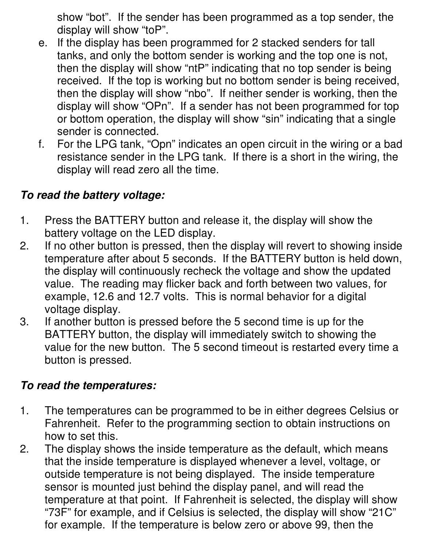show "bot". If the sender has been programmed as a top sender, the display will show "toP".

- e. If the display has been programmed for 2 stacked senders for tall tanks, and only the bottom sender is working and the top one is not, then the display will show "ntP" indicating that no top sender is being received. If the top is working but no bottom sender is being received, then the display will show "nbo". If neither sender is working, then the display will show "OPn". If a sender has not been programmed for top or bottom operation, the display will show "sin" indicating that a single sender is connected.
- f. For the LPG tank, "Opn" indicates an open circuit in the wiring or a bad resistance sender in the LPG tank. If there is a short in the wiring, the display will read zero all the time.

#### **To read the battery voltage:**

- 1. Press the BATTERY button and release it, the display will show the battery voltage on the LED display.
- 2. If no other button is pressed, then the display will revert to showing inside temperature after about 5 seconds. If the BATTERY button is held down, the display will continuously recheck the voltage and show the updated value. The reading may flicker back and forth between two values, for example, 12.6 and 12.7 volts. This is normal behavior for a digital voltage display.
- 3. If another button is pressed before the 5 second time is up for the BATTERY button, the display will immediately switch to showing the value for the new button. The 5 second timeout is restarted every time a button is pressed.

#### **To read the temperatures:**

- 1. The temperatures can be programmed to be in either degrees Celsius or Fahrenheit. Refer to the programming section to obtain instructions on how to set this.
- 2. The display shows the inside temperature as the default, which means that the inside temperature is displayed whenever a level, voltage, or outside temperature is not being displayed. The inside temperature sensor is mounted just behind the display panel, and will read the temperature at that point. If Fahrenheit is selected, the display will show "73F" for example, and if Celsius is selected, the display will show "21C" for example. If the temperature is below zero or above 99, then the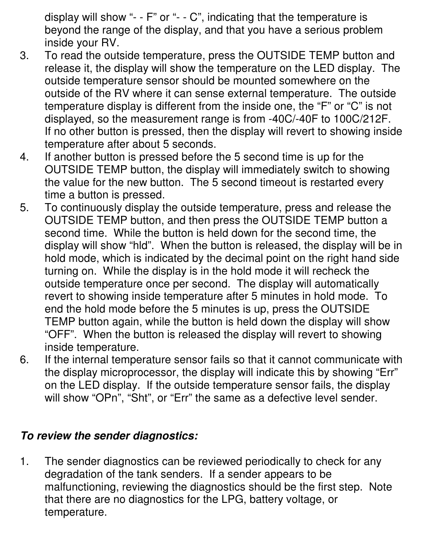display will show "- - F" or "- - C", indicating that the temperature is beyond the range of the display, and that you have a serious problem inside your RV.

- 3. To read the outside temperature, press the OUTSIDE TEMP button and release it, the display will show the temperature on the LED display. The outside temperature sensor should be mounted somewhere on the outside of the RV where it can sense external temperature. The outside temperature display is different from the inside one, the "F" or "C" is not displayed, so the measurement range is from -40C/-40F to 100C/212F. If no other button is pressed, then the display will revert to showing inside temperature after about 5 seconds.
- 4. If another button is pressed before the 5 second time is up for the OUTSIDE TEMP button, the display will immediately switch to showing the value for the new button. The 5 second timeout is restarted every time a button is pressed.
- 5. To continuously display the outside temperature, press and release the OUTSIDE TEMP button, and then press the OUTSIDE TEMP button a second time. While the button is held down for the second time, the display will show "hld". When the button is released, the display will be in hold mode, which is indicated by the decimal point on the right hand side turning on. While the display is in the hold mode it will recheck the outside temperature once per second. The display will automatically revert to showing inside temperature after 5 minutes in hold mode. To end the hold mode before the 5 minutes is up, press the OUTSIDE TEMP button again, while the button is held down the display will show "OFF". When the button is released the display will revert to showing inside temperature.
- 6. If the internal temperature sensor fails so that it cannot communicate with the display microprocessor, the display will indicate this by showing "Err" on the LED display. If the outside temperature sensor fails, the display will show "OPn", "Sht", or "Err" the same as a defective level sender.

#### **To review the sender diagnostics:**

1. The sender diagnostics can be reviewed periodically to check for any degradation of the tank senders. If a sender appears to be malfunctioning, reviewing the diagnostics should be the first step. Note that there are no diagnostics for the LPG, battery voltage, or temperature.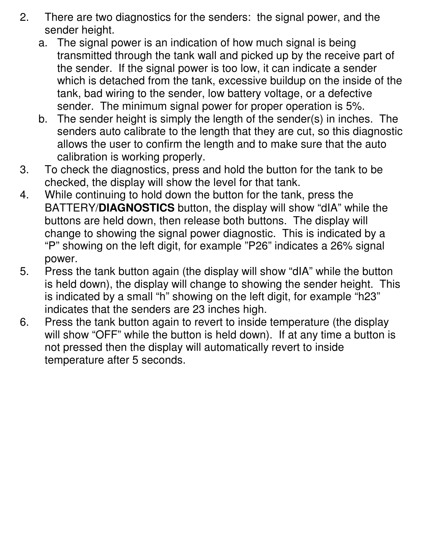- 2. There are two diagnostics for the senders: the signal power, and the sender height.
	- a. The signal power is an indication of how much signal is being transmitted through the tank wall and picked up by the receive part of the sender. If the signal power is too low, it can indicate a sender which is detached from the tank, excessive buildup on the inside of the tank, bad wiring to the sender, low battery voltage, or a defective sender. The minimum signal power for proper operation is 5%.
	- b. The sender height is simply the length of the sender(s) in inches. The senders auto calibrate to the length that they are cut, so this diagnostic allows the user to confirm the length and to make sure that the auto calibration is working properly.
- 3. To check the diagnostics, press and hold the button for the tank to be checked, the display will show the level for that tank.
- 4. While continuing to hold down the button for the tank, press the BATTERY/**DIAGNOSTICS** button, the display will show "dIA" while the buttons are held down, then release both buttons. The display will change to showing the signal power diagnostic. This is indicated by a "P" showing on the left digit, for example "P26" indicates a 26% signal power.
- 5. Press the tank button again (the display will show "dIA" while the button is held down), the display will change to showing the sender height. This is indicated by a small "h" showing on the left digit, for example "h23" indicates that the senders are 23 inches high.
- 6. Press the tank button again to revert to inside temperature (the display will show "OFF" while the button is held down). If at any time a button is not pressed then the display will automatically revert to inside temperature after 5 seconds.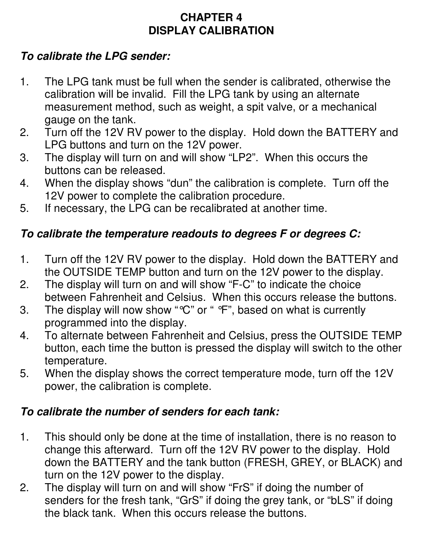#### **CHAPTER 4 DISPLAY CALIBRATION**

#### **To calibrate the LPG sender:**

- 1. The LPG tank must be full when the sender is calibrated, otherwise the calibration will be invalid. Fill the LPG tank by using an alternate measurement method, such as weight, a spit valve, or a mechanical gauge on the tank.
- 2. Turn off the 12V RV power to the display. Hold down the BATTERY and LPG buttons and turn on the 12V power.
- 3. The display will turn on and will show "LP2". When this occurs the buttons can be released.
- 4. When the display shows "dun" the calibration is complete. Turn off the 12V power to complete the calibration procedure.
- 5. If necessary, the LPG can be recalibrated at another time.

#### **To calibrate the temperature readouts to degrees F or degrees C:**

- 1. Turn off the 12V RV power to the display. Hold down the BATTERY and the OUTSIDE TEMP button and turn on the 12V power to the display.
- 2. The display will turn on and will show "F-C" to indicate the choice between Fahrenheit and Celsius. When this occurs release the buttons.
- 3. The display will now show "°C" or " °F", based on what is currently programmed into the display.
- 4. To alternate between Fahrenheit and Celsius, press the OUTSIDE TEMP button, each time the button is pressed the display will switch to the other temperature.
- 5. When the display shows the correct temperature mode, turn off the 12V power, the calibration is complete.

#### **To calibrate the number of senders for each tank:**

- 1. This should only be done at the time of installation, there is no reason to change this afterward. Turn off the 12V RV power to the display. Hold down the BATTERY and the tank button (FRESH, GREY, or BLACK) and turn on the 12V power to the display.
- 2. The display will turn on and will show "FrS" if doing the number of senders for the fresh tank, "GrS" if doing the grey tank, or "bLS" if doing the black tank. When this occurs release the buttons.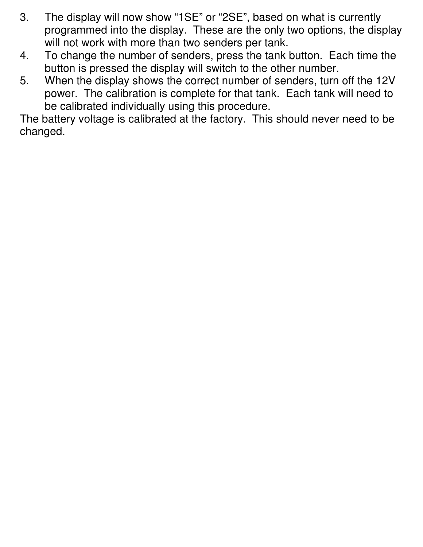- 3. The display will now show "1SE" or "2SE", based on what is currently programmed into the display. These are the only two options, the display will not work with more than two senders per tank.
- 4. To change the number of senders, press the tank button. Each time the button is pressed the display will switch to the other number.
- 5. When the display shows the correct number of senders, turn off the 12V power. The calibration is complete for that tank. Each tank will need to be calibrated individually using this procedure.

The battery voltage is calibrated at the factory. This should never need to be changed.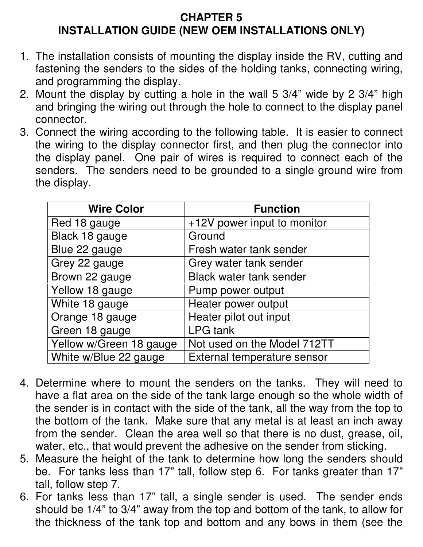#### **CHAPTER 5 INSTALLATION GUIDE (NEW OEM INSTALLATIONS ONLY)**

- 1. The installation consists of mounting the display inside the RV, cutting and fastening the senders to the sides of the holding tanks, connecting wiring, and programming the display.
- 2. Mount the display by cutting a hole in the wall 5 3/4" wide by 2 3/4" high and bringing the wiring out through the hole to connect to the display panel connector.
- 3. Connect the wiring according to the following table. It is easier to connect the wiring to the display connector first, and then plug the connector into the display panel. One pair of wires is required to connect each of the senders. The senders need to be grounded to a single ground wire from the display.

| <b>Wire Color</b>       | <b>Function</b>                |
|-------------------------|--------------------------------|
| Red 18 gauge            | +12V power input to monitor    |
| Black 18 gauge          | Ground                         |
| Blue 22 gauge           | Fresh water tank sender        |
| Grey 22 gauge           | Grey water tank sender         |
| Brown 22 gauge          | <b>Black water tank sender</b> |
| Yellow 18 gauge         | Pump power output              |
| White 18 gauge          | Heater power output            |
| Orange 18 gauge         | Heater pilot out input         |
| Green 18 gauge          | <b>LPG</b> tank                |
| Yellow w/Green 18 gauge | Not used on the Model 712TT    |
| White w/Blue 22 gauge   | External temperature sensor    |

- 4. Determine where to mount the senders on the tanks. They will need to have a flat area on the side of the tank large enough so the whole width of the sender is in contact with the side of the tank, all the way from the top to the bottom of the tank. Make sure that any metal is at least an inch away from the sender. Clean the area well so that there is no dust, grease, oil, water, etc., that would prevent the adhesive on the sender from sticking.
- 5. Measure the height of the tank to determine how long the senders should be. For tanks less than 17" tall, follow step 6. For tanks greater than 17" tall, follow step 7.
- 6. For tanks less than 17" tall, a single sender is used. The sender ends should be 1/4" to 3/4" away from the top and bottom of the tank, to allow for the thickness of the tank top and bottom and any bows in them (see the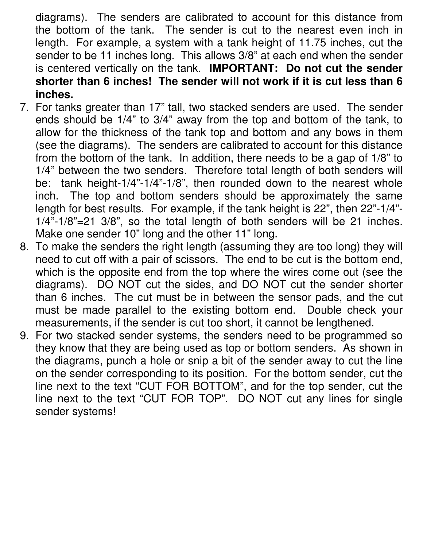diagrams). The senders are calibrated to account for this distance from the bottom of the tank. The sender is cut to the nearest even inch in length. For example, a system with a tank height of 11.75 inches, cut the sender to be 11 inches long. This allows 3/8" at each end when the sender is centered vertically on the tank. **IMPORTANT: Do not cut the sender shorter than 6 inches! The sender will not work if it is cut less than 6 inches.**

- 7. For tanks greater than 17" tall, two stacked senders are used. The sender ends should be 1/4" to 3/4" away from the top and bottom of the tank, to allow for the thickness of the tank top and bottom and any bows in them (see the diagrams). The senders are calibrated to account for this distance from the bottom of the tank. In addition, there needs to be a gap of 1/8" to 1/4" between the two senders. Therefore total length of both senders will be: tank height-1/4"-1/4"-1/8", then rounded down to the nearest whole inch. The top and bottom senders should be approximately the same length for best results. For example, if the tank height is 22", then 22"-1/4"- 1/4"-1/8"=21 3/8", so the total length of both senders will be 21 inches. Make one sender 10" long and the other 11" long.
- 8. To make the senders the right length (assuming they are too long) they will need to cut off with a pair of scissors. The end to be cut is the bottom end, which is the opposite end from the top where the wires come out (see the diagrams). DO NOT cut the sides, and DO NOT cut the sender shorter than 6 inches. The cut must be in between the sensor pads, and the cut must be made parallel to the existing bottom end. Double check your measurements, if the sender is cut too short, it cannot be lengthened.
- 9. For two stacked sender systems, the senders need to be programmed so they know that they are being used as top or bottom senders. As shown in the diagrams, punch a hole or snip a bit of the sender away to cut the line on the sender corresponding to its position. For the bottom sender, cut the line next to the text "CUT FOR BOTTOM", and for the top sender, cut the line next to the text "CUT FOR TOP". DO NOT cut any lines for single sender systems!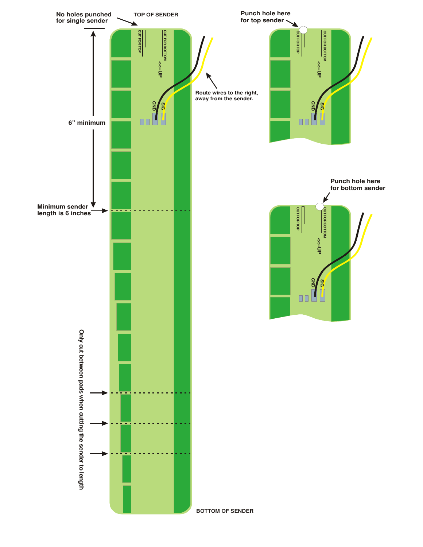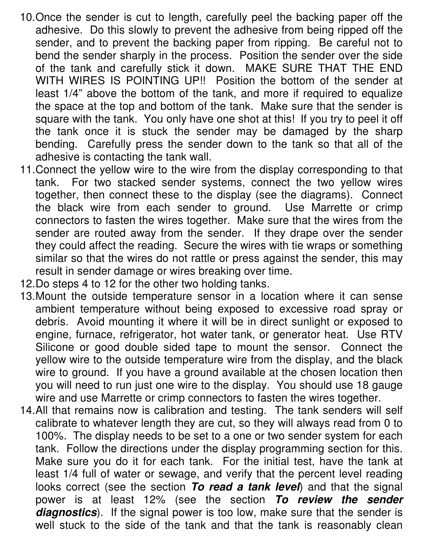- 10. Once the sender is cut to length, carefully peel the backing paper off the adhesive. Do this slowly to prevent the adhesive from being ripped off the sender, and to prevent the backing paper from ripping. Be careful not to bend the sender sharply in the process. Position the sender over the side of the tank and carefully stick it down. MAKE SURE THAT THE END WITH WIRES IS POINTING UP!! Position the bottom of the sender at least 1/4" above the bottom of the tank, and more if required to equalize the space at the top and bottom of the tank. Make sure that the sender is square with the tank. You only have one shot at this! If you try to peel it off the tank once it is stuck the sender may be damaged by the sharp bending. Carefully press the sender down to the tank so that all of the adhesive is contacting the tank wall.
- 11. Connect the yellow wire to the wire from the display corresponding to that tank. For two stacked sender systems, connect the two yellow wires together, then connect these to the display (see the diagrams). Connect the black wire from each sender to ground. Use Marrette or crimp connectors to fasten the wires together. Make sure that the wires from the sender are routed away from the sender. If they drape over the sender they could affect the reading. Secure the wires with tie wraps or something similar so that the wires do not rattle or press against the sender, this may result in sender damage or wires breaking over time.
- 12. Do steps 4 to 12 for the other two holding tanks.
- 13. Mount the outside temperature sensor in a location where it can sense ambient temperature without being exposed to excessive road spray or debris. Avoid mounting it where it will be in direct sunlight or exposed to engine, furnace, refrigerator, hot water tank, or generator heat. Use RTV Silicone or good double sided tape to mount the sensor. Connect the yellow wire to the outside temperature wire from the display, and the black wire to ground. If you have a ground available at the chosen location then you will need to run just one wire to the display. You should use 18 gauge wire and use Marrette or crimp connectors to fasten the wires together.
- 14. All that remains now is calibration and testing. The tank senders will self calibrate to whatever length they are cut, so they will always read from 0 to 100%. The display needs to be set to a one or two sender system for each tank. Follow the directions under the display programming section for this. Make sure you do it for each tank. For the initial test, have the tank at least 1/4 full of water or sewage, and verify that the percent level reading looks correct (see the section **To read a tank level**) and that the signal power is at least 12% (see the section **To review the sender diagnostics**). If the signal power is too low, make sure that the sender is well stuck to the side of the tank and that the tank is reasonably clean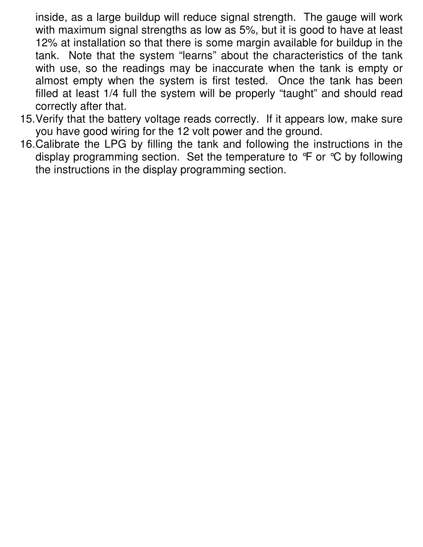inside, as a large buildup will reduce signal strength. The gauge will work with maximum signal strengths as low as 5%, but it is good to have at least 12% at installation so that there is some margin available for buildup in the tank. Note that the system "learns" about the characteristics of the tank with use, so the readings may be inaccurate when the tank is empty or almost empty when the system is first tested. Once the tank has been filled at least 1/4 full the system will be properly "taught" and should read correctly after that.

- 15. Verify that the battery voltage reads correctly. If it appears low, make sure you have good wiring for the 12 volt power and the ground.
- 16. Calibrate the LPG by filling the tank and following the instructions in the display programming section. Set the temperature to  $\mathcal{F}$  or  $\mathcal{C}$  by following the instructions in the display programming section.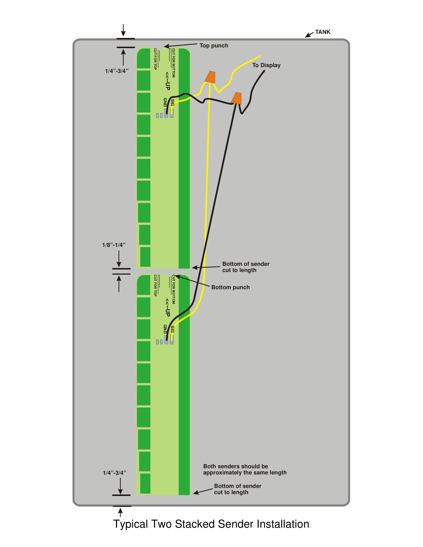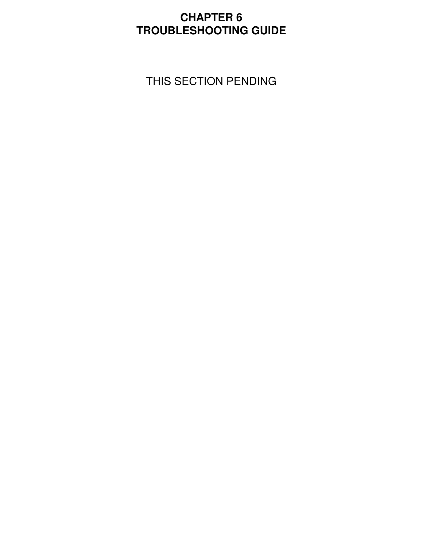#### **CHAPTER 6 TROUBLESHOOTING GUIDE**

THIS SECTION PENDING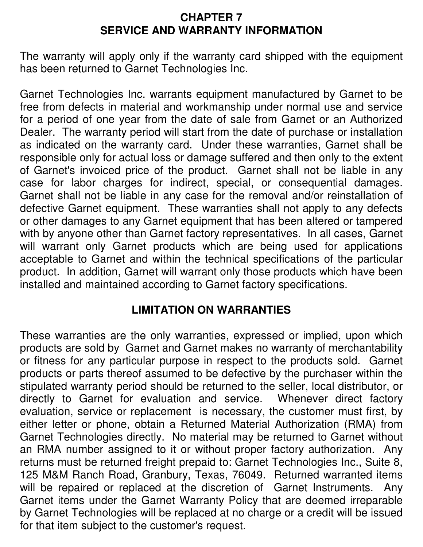#### **CHAPTER 7 SERVICE AND WARRANTY INFORMATION**

The warranty will apply only if the warranty card shipped with the equipment has been returned to Garnet Technologies Inc.

Garnet Technologies Inc. warrants equipment manufactured by Garnet to be free from defects in material and workmanship under normal use and service for a period of one year from the date of sale from Garnet or an Authorized Dealer. The warranty period will start from the date of purchase or installation as indicated on the warranty card. Under these warranties, Garnet shall be responsible only for actual loss or damage suffered and then only to the extent of Garnet's invoiced price of the product. Garnet shall not be liable in any case for labor charges for indirect, special, or consequential damages. Garnet shall not be liable in any case for the removal and/or reinstallation of defective Garnet equipment. These warranties shall not apply to any defects or other damages to any Garnet equipment that has been altered or tampered with by anyone other than Garnet factory representatives. In all cases, Garnet will warrant only Garnet products which are being used for applications acceptable to Garnet and within the technical specifications of the particular product. In addition, Garnet will warrant only those products which have been installed and maintained according to Garnet factory specifications.

#### **LIMITATION ON WARRANTIES**

These warranties are the only warranties, expressed or implied, upon which products are sold by Garnet and Garnet makes no warranty of merchantability or fitness for any particular purpose in respect to the products sold. Garnet products or parts thereof assumed to be defective by the purchaser within the stipulated warranty period should be returned to the seller, local distributor, or directly to Garnet for evaluation and service. Whenever direct factory evaluation, service or replacement is necessary, the customer must first, by either letter or phone, obtain a Returned Material Authorization (RMA) from Garnet Technologies directly. No material may be returned to Garnet without an RMA number assigned to it or without proper factory authorization. Any returns must be returned freight prepaid to: Garnet Technologies Inc., Suite 8, 125 M&M Ranch Road, Granbury, Texas, 76049. Returned warranted items will be repaired or replaced at the discretion of Garnet Instruments. Any Garnet items under the Garnet Warranty Policy that are deemed irreparable by Garnet Technologies will be replaced at no charge or a credit will be issued for that item subject to the customer's request.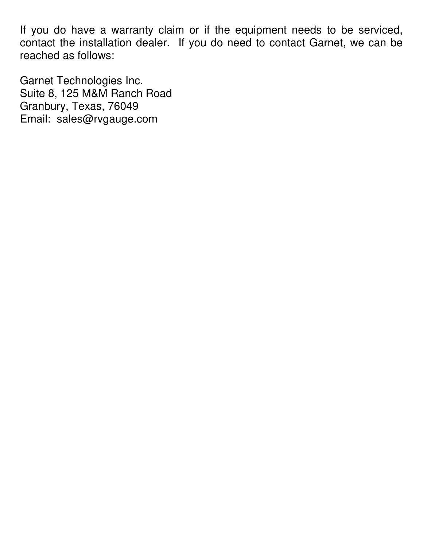If you do have a warranty claim or if the equipment needs to be serviced, contact the installation dealer. If you do need to contact Garnet, we can be reached as follows:

Garnet Technologies Inc. Suite 8, 125 M&M Ranch Road Granbury, Texas, 76049 Email: sales@rvgauge.com